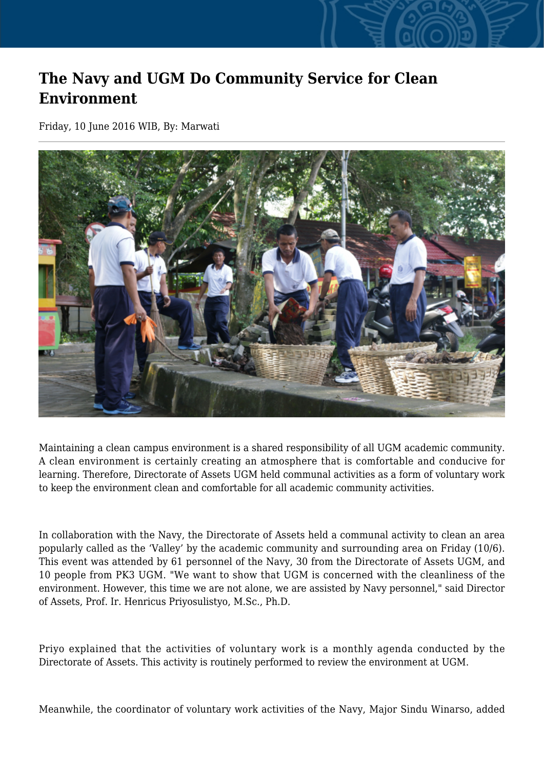## **The Navy and UGM Do Community Service for Clean Environment**

Friday, 10 June 2016 WIB, By: Marwati



Maintaining a clean campus environment is a shared responsibility of all UGM academic community. A clean environment is certainly creating an atmosphere that is comfortable and conducive for learning. Therefore, Directorate of Assets UGM held communal activities as a form of voluntary work to keep the environment clean and comfortable for all academic community activities.

In collaboration with the Navy, the Directorate of Assets held a communal activity to clean an area popularly called as the 'Valley' by the academic community and surrounding area on Friday (10/6). This event was attended by 61 personnel of the Navy, 30 from the Directorate of Assets UGM, and 10 people from PK3 UGM. "We want to show that UGM is concerned with the cleanliness of the environment. However, this time we are not alone, we are assisted by Navy personnel," said Director of Assets, Prof. Ir. Henricus Priyosulistyo, M.Sc., Ph.D.

Priyo explained that the activities of voluntary work is a monthly agenda conducted by the Directorate of Assets. This activity is routinely performed to review the environment at UGM.

Meanwhile, the coordinator of voluntary work activities of the Navy, Major Sindu Winarso, added